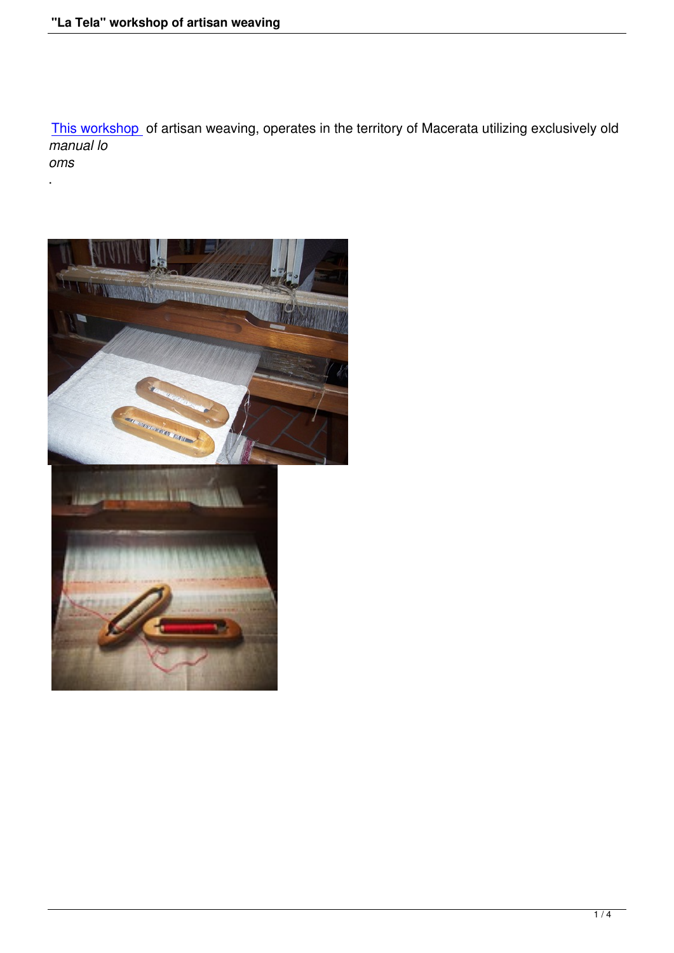This workshop of artisan weaving, operates in the territory of Macerata utilizing exclusively old *manual lo oms*



[.](http://www.latela.tictail.com)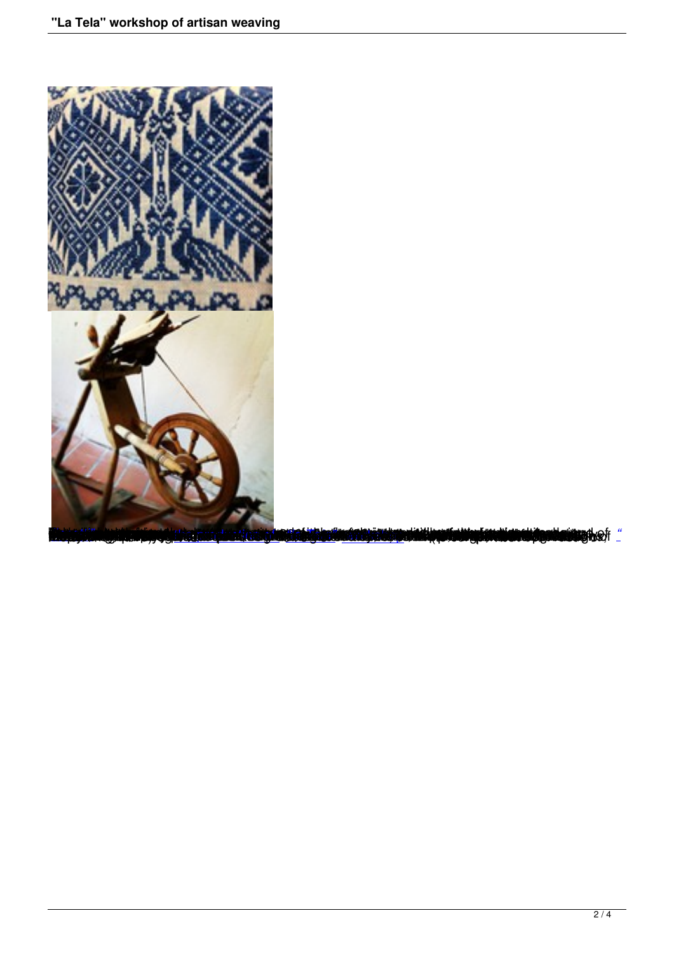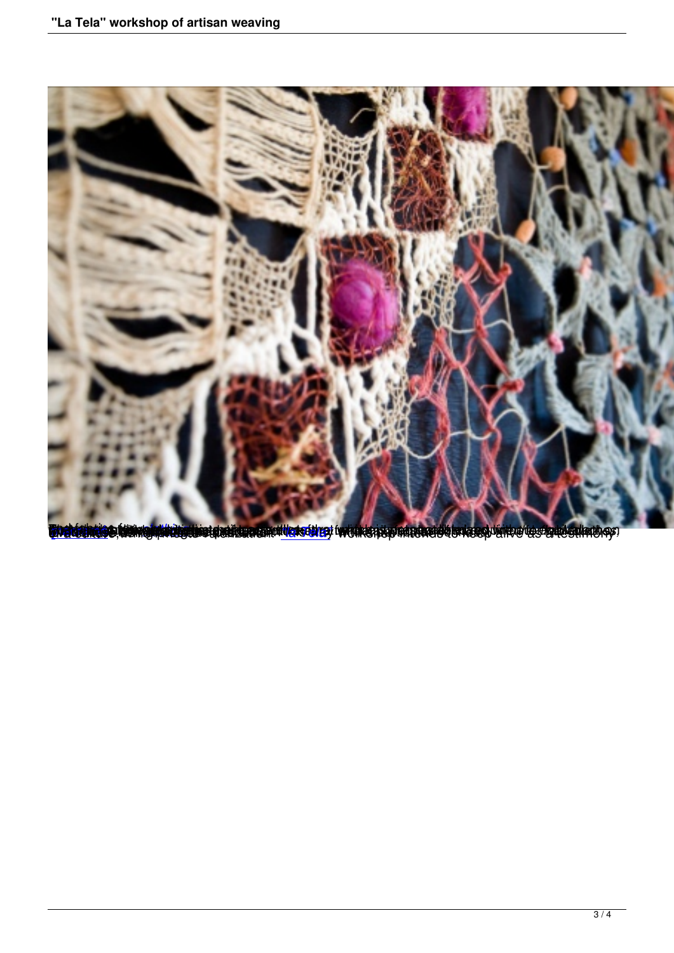

L**aballura cimullizisch 19**31 (**witches 1935) naudreise Seriases** von Ros Gressen (1945)

ļ